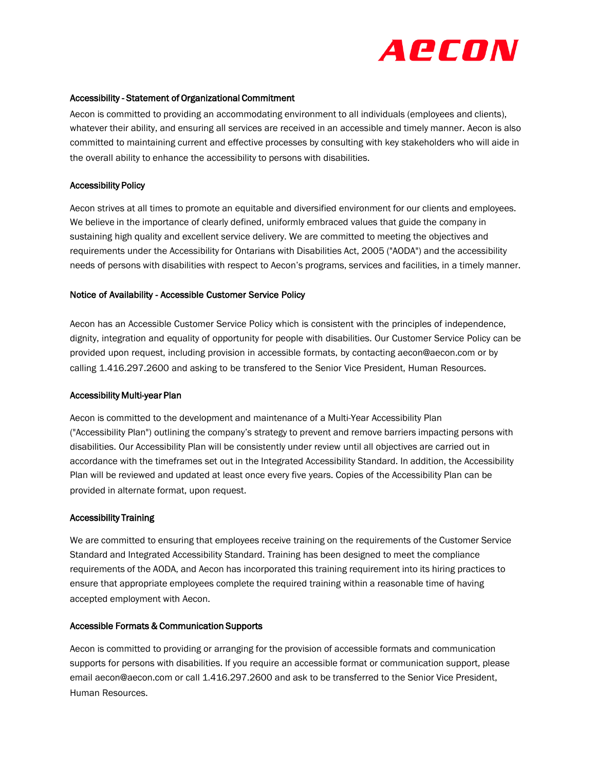

#### Accessibility - Statement of Organizational Commitment

Aecon is committed to providing an accommodating environment to all individuals (employees and clients), whatever their ability, and ensuring all services are received in an accessible and timely manner. Aecon is also committed to maintaining current and effective processes by consulting with key stakeholders who will aide in the overall ability to enhance the accessibility to persons with disabilities.

#### Accessibility Policy

Aecon strives at all times to promote an equitable and diversified environment for our clients and employees. We believe in the importance of clearly defined, uniformly embraced values that guide the company in sustaining high quality and excellent service delivery. We are committed to meeting the objectives and requirements under the Accessibility for Ontarians with Disabilities Act, 2005 ("AODA") and the accessibility needs of persons with disabilities with respect to Aecon's programs, services and facilities, in a timely manner.

### Notice of Availability - Accessible Customer Service Policy

Aecon has an Accessible Customer Service Policy which is consistent with the principles of independence, dignity, integration and equality of opportunity for people with disabilities. Our Customer Service Policy can be provided upon request, including provision in accessible formats, by contacting aecon@aecon.com or by calling 1.416.297.2600 and asking to be transfered to the Senior Vice President, Human Resources.

#### Accessibility Multi-year Plan

Aecon is committed to the development and maintenance of a Multi-Year Accessibility Plan ("Accessibility Plan") outlining the company's strategy to prevent and remove barriers impacting persons with disabilities. Our Accessibility Plan will be consistently under review until all objectives are carried out in accordance with the timeframes set out in the Integrated Accessibility Standard. In addition, the Accessibility Plan will be reviewed and updated at least once every five year[s.](https://www.aecon.com/Aecon) Copies of the Accessibility Plan can be provided in alternate format, upon request.

#### Accessibility Training

We are committed to ensuring that employees receive training on the requirements of the Customer Service Standard and Integrated Accessibility Standard. Training has been designed to meet the compliance requirements of the AODA, and Aecon has incorporated this training requirement into its hiring practices to ensure that appropriate employees complete the required training within a reasonable time of having accepted employment with Aecon.

### Accessible Formats & Communication Supports

Aecon is committed to providing or arranging for the provision of accessible formats and communication supports for persons with disabilities. If you require an accessible format or communication support, please email aecon@aecon.com or call 1.416.297.2600 and ask to be transferred to the Senior Vice President, Human Resources.